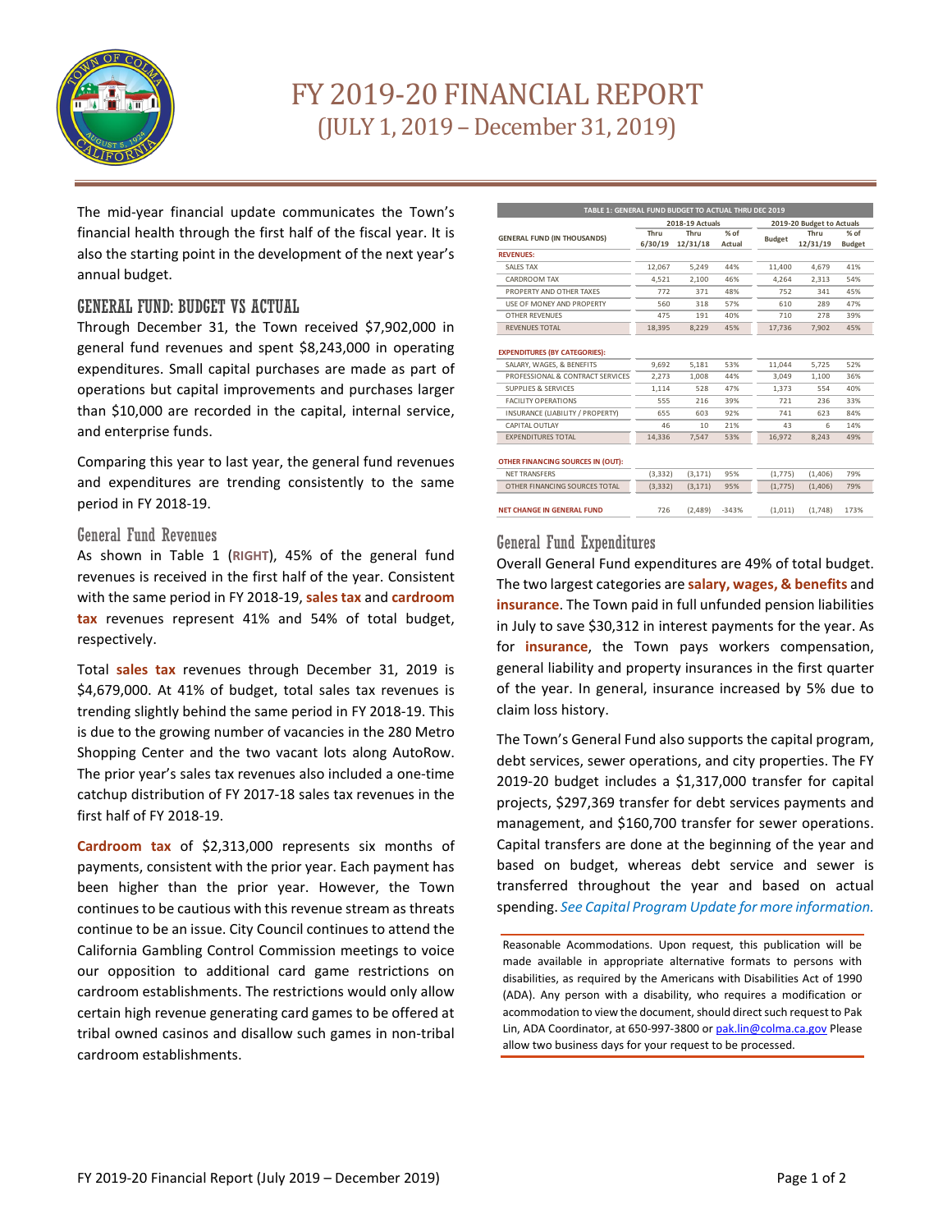

# FY 2019-20 FINANCIAL REPORT (JULY 1, 2019 –December 31, 2019)

The mid-year financial update communicates the Town's financial health through the first half of the fiscal year. It is also the starting point in the development of the next year's annual budget.

## GENERAL FUND: BUDGET VS ACTUAL

Through December 31, the Town received \$7,902,000 in general fund revenues and spent \$8,243,000 in operating expenditures. Small capital purchases are made as part of operations but capital improvements and purchases larger than \$10,000 are recorded in the capital, internal service, and enterprise funds.

Comparing this year to last year, the general fund revenues and expenditures are trending consistently to the same period in FY 2018-19.

#### General Fund Revenues

As shown in Table 1 (**RIGHT**), 45% of the general fund revenues is received in the first half of the year. Consistent with the same period in FY 2018-19, **sales tax** and **cardroom tax** revenues represent 41% and 54% of total budget, respectively.

Total **sales tax** revenues through December 31, 2019 is \$4,679,000. At 41% of budget, total sales tax revenues is trending slightly behind the same period in FY 2018-19. This is due to the growing number of vacancies in the 280 Metro Shopping Center and the two vacant lots along AutoRow. The prior year's sales tax revenues also included a one-time catchup distribution of FY 2017-18 sales tax revenues in the first half of FY 2018-19.

**Cardroom tax** of \$2,313,000 represents six months of payments, consistent with the prior year. Each payment has been higher than the prior year. However, the Town continues to be cautious with this revenue stream as threats continue to be an issue. City Council continues to attend the California Gambling Control Commission meetings to voice our opposition to additional card game restrictions on cardroom establishments. The restrictions would only allow certain high revenue generating card games to be offered at tribal owned casinos and disallow such games in non-tribal cardroom establishments.

| TABLE 1: GENERAL FUND BUDGET TO ACTUAL THRU DEC 2019              |                 |                  |                           |               |                  |                         |  |  |  |  |  |  |
|-------------------------------------------------------------------|-----------------|------------------|---------------------------|---------------|------------------|-------------------------|--|--|--|--|--|--|
|                                                                   |                 | 2018-19 Actuals  | 2019-20 Budget to Actuals |               |                  |                         |  |  |  |  |  |  |
| <b>GENERAL FUND (IN THOUSANDS)</b>                                | Thru<br>6/30/19 | Thru<br>12/31/18 | $%$ of<br>Actual          | <b>Budget</b> | Thru<br>12/31/19 | $%$ of<br><b>Budget</b> |  |  |  |  |  |  |
| <b>REVENUES:</b>                                                  |                 |                  |                           |               |                  |                         |  |  |  |  |  |  |
| SAI ES TAX                                                        | 12.067          | 5.249            | 44%                       | 11,400        | 4.679            | 41%                     |  |  |  |  |  |  |
| CARDROOM TAX                                                      | 4.521           | 2.100            | 46%                       | 4.264         | 2.313            | 54%                     |  |  |  |  |  |  |
| PROPERTY AND OTHER TAXES                                          | 772             | 371              | 48%<br>57%<br>40%         | 752           | 341              | 45%                     |  |  |  |  |  |  |
| USE OF MONEY AND PROPERTY                                         | 560             | 318              |                           | 610           | 289              | 47%                     |  |  |  |  |  |  |
| <b>OTHER REVENUES</b>                                             | 475             | 191              |                           | 710           | 278              | 39%                     |  |  |  |  |  |  |
| <b>REVENUES TOTAL</b>                                             | 18.395          | 8.229            | 45%                       | 17.736        | 7.902            | 45%                     |  |  |  |  |  |  |
| <b>EXPENDITURES (BY CATEGORIES):</b><br>SALARY, WAGES, & BENEFITS | 9.692           | 5.181            | 53%                       | 11.044        | 5.725            | 52%                     |  |  |  |  |  |  |
| PROFESSIONAL & CONTRACT SERVICES                                  | 2.273           | 1,008            | 44%                       | 3.049         | 1.100            | 36%                     |  |  |  |  |  |  |
| <b>SUPPLIES &amp; SERVICES</b>                                    | 1,114           | 528              | 47%                       | 1.373         | 554              | 40%                     |  |  |  |  |  |  |
| <b>FACILITY OPERATIONS</b>                                        | 555             | 216              | 39%                       | 721           | 236              | 33%                     |  |  |  |  |  |  |
| INSURANCE (LIABILITY / PROPERTY)                                  | 655             | 603              | 92%                       | 741           | 623              | 84%                     |  |  |  |  |  |  |
| CAPITAL OUTLAY                                                    | 46              | 10               | 21%                       | 43            | 6                | 14%                     |  |  |  |  |  |  |
| <b>EXPENDITURES TOTAL</b>                                         | 14.336          | 7.547            | 53%                       | 16.972        | 8.243            | 49%                     |  |  |  |  |  |  |
| OTHER FINANCING SOURCES IN (OUT):                                 |                 |                  |                           |               |                  |                         |  |  |  |  |  |  |
| <b>NFT TRANSFERS</b>                                              | (3.332)         | (3.171)          | 95%                       | (1,775)       | (1.406)          | 79%                     |  |  |  |  |  |  |
| OTHER FINANCING SOURCES TOTAL                                     | (3, 332)        | (3, 171)         | 95%                       | (1,775)       | (1,406)          | 79%                     |  |  |  |  |  |  |
| <b>NET CHANGE IN GENERAL FUND</b>                                 | 726             | (2.489)          | $-343%$                   | (1.011)       | (1.748)          | 173%                    |  |  |  |  |  |  |

## General Fund Expenditures

Overall General Fund expenditures are 49% of total budget. The two largest categories are **salary, wages, & benefits** and **insurance**. The Town paid in full unfunded pension liabilities in July to save \$30,312 in interest payments for the year. As for **insurance**, the Town pays workers compensation, general liability and property insurances in the first quarter of the year. In general, insurance increased by 5% due to claim loss history.

The Town's General Fund also supports the capital program, debt services, sewer operations, and city properties. The FY 2019-20 budget includes a \$1,317,000 transfer for capital projects, \$297,369 transfer for debt services payments and management, and \$160,700 transfer for sewer operations. Capital transfers are done at the beginning of the year and based on budget, whereas debt service and sewer is transferred throughout the year and based on actual spending. *See Capital Program Update for more information.*

Reasonable Acommodations. Upon request, this publication will be made available in appropriate alternative formats to persons with disabilities, as required by the Americans with Disabilities Act of 1990 (ADA). Any person with a disability, who requires a modification or acommodation to view the document, should direct such request to Pak Lin, ADA Coordinator, at 650-997-3800 or pak.lin@colma.ca.gov Please allow two business days for your request to be processed.